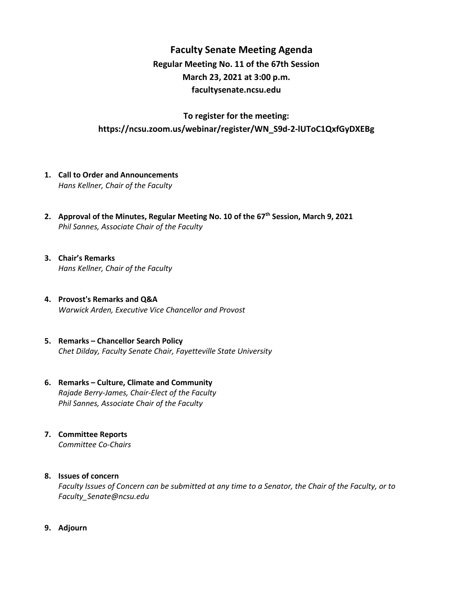## **Faculty Senate Meeting Agenda Regular Meeting No. 11 of the 67th Session March 23, 2021 at 3:00 p.m. [facultysenate.ncsu.edu](https://facultysenate.ncsu.edu/)**

### **To register for the meeting: https://ncsu.zoom.us/webinar/register/WN\_S9d-2-lUToC1QxfGyDXEBg**

- **1. Call to Order and Announcements** *Hans Kellner, Chair of the Faculty*
- **2. Approval of the Minutes, Regular Meeting No. 10 of the 67th Session, March 9, 2021** *Phil Sannes, Associate Chair of the Faculty*
- **3. Chair's Remarks** *Hans Kellner, Chair of the Faculty*
- **4. Provost's Remarks and Q&A** *Warwick Arden, Executive Vice Chancellor and Provost*
- **5. Remarks – Chancellor Search Policy** *Chet Dilday, Faculty Senate Chair, Fayetteville State University*
- **6. Remarks – Culture, Climate and Community** *Rajade Berry-James, Chair-Elect of the Faculty Phil Sannes, Associate Chair of the Faculty*
- **7. Committee Reports** *Committee Co-Chairs*

#### **8. Issues of concern**

*Faculty Issues of Concern can be submitted at any time to a Senator, the Chair of the Faculty, or to [Faculty\\_Senate@ncsu.edu](mailto:Faculty_Senate@ncsu.edu)*

**9. Adjourn**